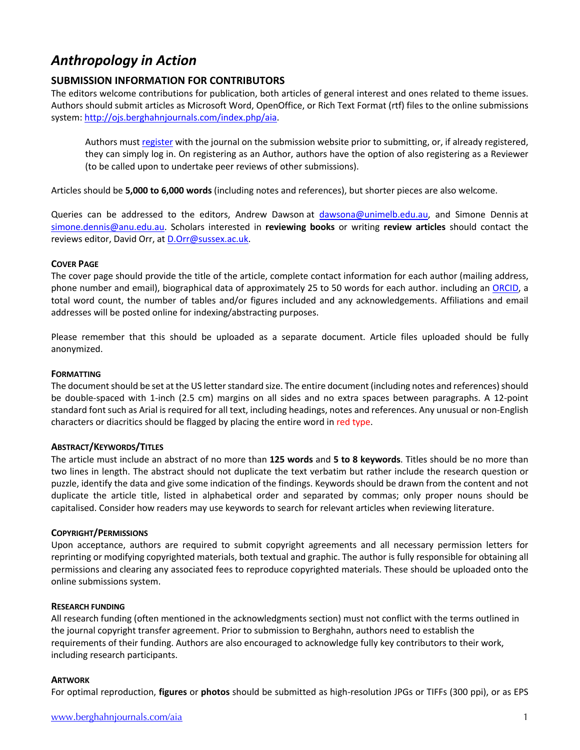# *Anthropology in Action*

# **SUBMISSION INFORMATION FOR CONTRIBUTORS**

The editors welcome contributions for publication, both articles of general interest and ones related to theme issues. Authors should submit articles as Microsoft Word, OpenOffice, or Rich Text Format (rtf) files to the online submissions system: http://ojs.berghahnjournals.com/index.php/aia.

Authors must register with the journal on the submission website prior to submitting, or, if already registered, they can simply log in. On registering as an Author, authors have the option of also registering as a Reviewer (to be called upon to undertake peer reviews of other submissions).

Articles should be **5,000 to 6,000 words** (including notes and references), but shorter pieces are also welcome.

Queries can be addressed to the editors, Andrew Dawson at dawsona@unimelb.edu.au, and Simone Dennis at simone.dennis@anu.edu.au. Scholars interested in **reviewing books** or writing **review articles** should contact the reviews editor, David Orr, at D.Orr@sussex.ac.uk.

# **COVER PAGE**

The cover page should provide the title of the article, complete contact information for each author (mailing address, phone number and email), biographical data of approximately 25 to 50 words for each author. including an ORCID, a total word count, the number of tables and/or figures included and any acknowledgements. Affiliations and email addresses will be posted online for indexing/abstracting purposes.

Please remember that this should be uploaded as a separate document. Article files uploaded should be fully anonymized.

# **FORMATTING**

The document should be set at the US letter standard size. The entire document (including notes and references) should be double-spaced with 1-inch (2.5 cm) margins on all sides and no extra spaces between paragraphs. A 12-point standard font such as Arial is required for all text, including headings, notes and references. Any unusual or non-English characters or diacritics should be flagged by placing the entire word in red type.

# **ABSTRACT/KEYWORDS/TITLES**

The article must include an abstract of no more than **125 words** and **5 to 8 keywords**. Titles should be no more than two lines in length. The abstract should not duplicate the text verbatim but rather include the research question or puzzle, identify the data and give some indication of the findings. Keywords should be drawn from the content and not duplicate the article title, listed in alphabetical order and separated by commas; only proper nouns should be capitalised. Consider how readers may use keywords to search for relevant articles when reviewing literature.

# **COPYRIGHT/PERMISSIONS**

Upon acceptance, authors are required to submit copyright agreements and all necessary permission letters for reprinting or modifying copyrighted materials, both textual and graphic. The author is fully responsible for obtaining all permissions and clearing any associated fees to reproduce copyrighted materials. These should be uploaded onto the online submissions system.

# **RESEARCH FUNDING**

All research funding (often mentioned in the acknowledgments section) must not conflict with the terms outlined in the journal copyright transfer agreement. Prior to submission to Berghahn, authors need to establish the requirements of their funding. Authors are also encouraged to acknowledge fully key contributors to their work, including research participants.

# **ARTWORK**

For optimal reproduction, **figures** or **photos** should be submitted as high-resolution JPGs or TIFFs (300 ppi), or as EPS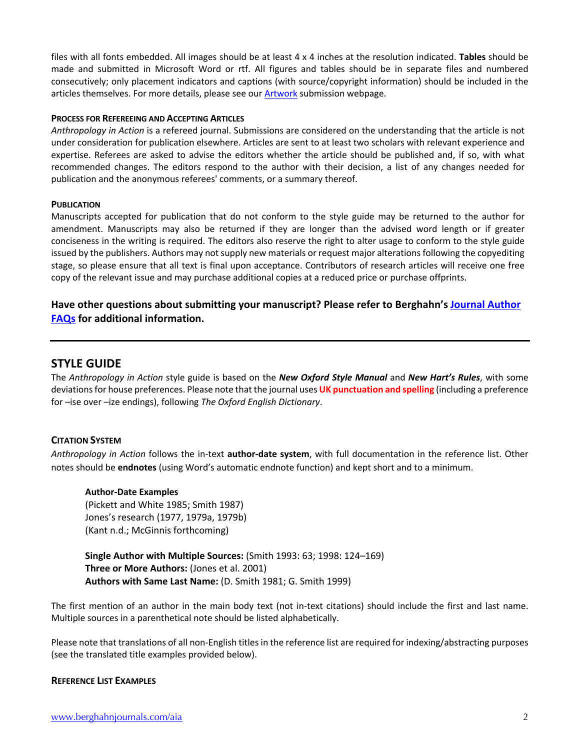files with all fonts embedded. All images should be at least 4 x 4 inches at the resolution indicated. **Tables** should be made and submitted in Microsoft Word or rtf. All figures and tables should be in separate files and numbered consecutively; only placement indicators and captions (with source/copyright information) should be included in the articles themselves. For more details, please see our Artwork submission webpage.

# **PROCESS FOR REFEREEING AND ACCEPTING ARTICLES**

*Anthropology in Action* is a refereed journal. Submissions are considered on the understanding that the article is not under consideration for publication elsewhere. Articles are sent to at least two scholars with relevant experience and expertise. Referees are asked to advise the editors whether the article should be published and, if so, with what recommended changes. The editors respond to the author with their decision, a list of any changes needed for publication and the anonymous referees' comments, or a summary thereof.

#### **PUBLICATION**

Manuscripts accepted for publication that do not conform to the style guide may be returned to the author for amendment. Manuscripts may also be returned if they are longer than the advised word length or if greater conciseness in the writing is required. The editors also reserve the right to alter usage to conform to the style guide issued by the publishers. Authors may not supply new materials or request major alterations following the copyediting stage, so please ensure that all text is final upon acceptance. Contributors of research articles will receive one free copy of the relevant issue and may purchase additional copies at a reduced price or purchase offprints.

# **Have other questions about submitting your manuscript? Please refer to Berghahn's Journal Author FAQs for additional information.**

# **STYLE GUIDE**

The *Anthropology in Action* style guide is based on the *New Oxford Style Manual* and *New Hart's Rules*, with some deviations for house preferences. Please note that the journal uses **UK punctuation and spelling** (including a preference for –ise over –ize endings), following *The Oxford English Dictionary*.

# **CITATION SYSTEM**

*Anthropology in Action* follows the in-text **author-date system**, with full documentation in the reference list. Other notes should be **endnotes** (using Word's automatic endnote function) and kept short and to a minimum.

#### **Author-Date Examples**

(Pickett and White 1985; Smith 1987) Jones's research (1977, 1979a, 1979b) (Kant n.d.; McGinnis forthcoming)

**Single Author with Multiple Sources:** (Smith 1993: 63; 1998: 124–169) **Three or More Authors:** (Jones et al. 2001) **Authors with Same Last Name:** (D. Smith 1981; G. Smith 1999)

The first mention of an author in the main body text (not in-text citations) should include the first and last name. Multiple sources in a parenthetical note should be listed alphabetically.

Please note that translations of all non-English titles in the reference list are required for indexing/abstracting purposes (see the translated title examples provided below).

# **REFERENCE LIST EXAMPLES**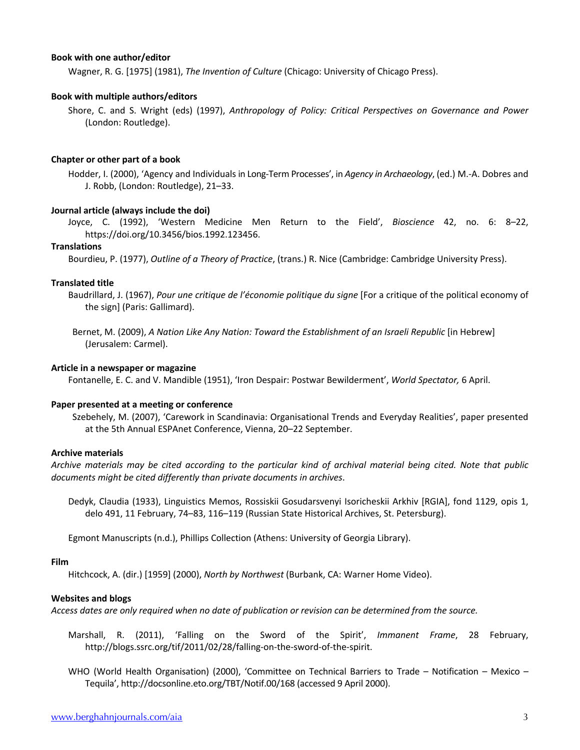## **Book with one author/editor**

Wagner, R. G. [1975] (1981), *The Invention of Culture* (Chicago: University of Chicago Press).

#### **Book with multiple authors/editors**

Shore, C. and S. Wright (eds) (1997), *Anthropology of Policy: Critical Perspectives on Governance and Power*  (London: Routledge).

## **Chapter or other part of a book**

Hodder, I. (2000), 'Agency and Individuals in Long-Term Processes', in *Agency in Archaeology*, (ed.) M.-A. Dobres and J. Robb, (London: Routledge), 21–33.

## **Journal article (always include the doi)**

Joyce, C. (1992), 'Western Medicine Men Return to the Field', *Bioscience* 42, no. 6: 8–22, https://doi.org/10.3456/bios.1992.123456.

#### **Translations**

Bourdieu, P. (1977), *Outline of a Theory of Practice*, (trans.) R. Nice (Cambridge: Cambridge University Press).

#### **Translated title**

- Baudrillard, J. (1967), *Pour une critique de l'économie politique du signe* [For a critique of the political economy of the sign] (Paris: Gallimard).
- Bernet, M. (2009), *A Nation Like Any Nation: Toward the Establishment of an Israeli Republic* [in Hebrew] (Jerusalem: Carmel).

## **Article in a newspaper or magazine**

Fontanelle, E. C. and V. Mandible (1951), 'Iron Despair: Postwar Bewilderment', *World Spectator,* 6 April.

#### **Paper presented at a meeting or conference**

Szebehely, M. (2007), 'Carework in Scandinavia: Organisational Trends and Everyday Realities', paper presented at the 5th Annual ESPAnet Conference, Vienna, 20–22 September.

# **Archive materials**

*Archive materials may be cited according to the particular kind of archival material being cited. Note that public documents might be cited differently than private documents in archives*.

Dedyk, Claudia (1933), Linguistics Memos, Rossiskii Gosudarsvenyi Isoricheskii Arkhiv [RGIA], fond 1129, opis 1, delo 491, 11 February, 74–83, 116–119 (Russian State Historical Archives, St. Petersburg).

Egmont Manuscripts (n.d.), Phillips Collection (Athens: University of Georgia Library).

#### **Film**

Hitchcock, A. (dir.) [1959] (2000), *North by Northwest* (Burbank, CA: Warner Home Video).

#### **Websites and blogs**

*Access dates are only required when no date of publication or revision can be determined from the source.*

- Marshall, R. (2011), 'Falling on the Sword of the Spirit', *Immanent Frame*, 28 February, http://blogs.ssrc.org/tif/2011/02/28/falling-on-the-sword-of-the-spirit.
- WHO (World Health Organisation) (2000), 'Committee on Technical Barriers to Trade Notification Mexico Tequila', http://docsonline.eto.org/TBT/Notif.00/168 (accessed 9 April 2000).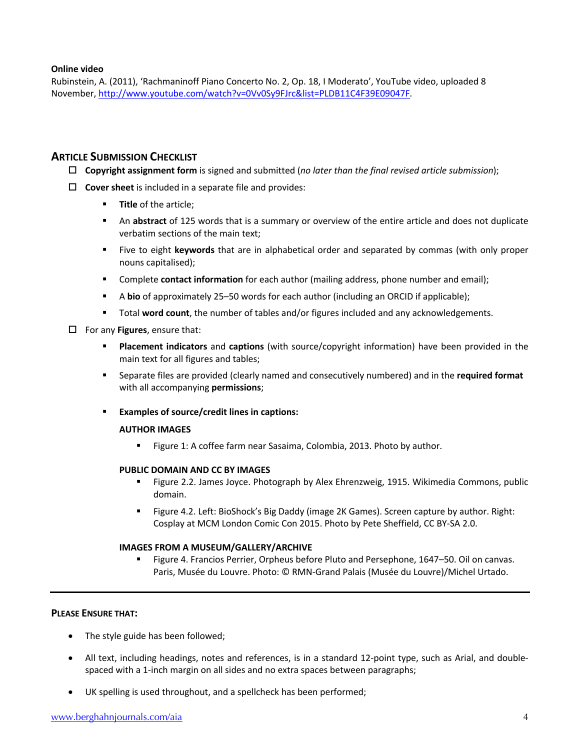# **Online video**

Rubinstein, A. (2011), 'Rachmaninoff Piano Concerto No. 2, Op. 18, I Moderato', YouTube video, uploaded 8 November, http://www.youtube.com/watch?v=0Vv0Sy9FJrc&list=PLDB11C4F39E09047F.

# **ARTICLE SUBMISSION CHECKLIST**

- o **Copyright assignment form** is signed and submitted (*no later than the final revised article submission*);
- $\Box$  Cover sheet is included in a separate file and provides:
	- **Fitle** of the article;
	- **An abstract** of 125 words that is a summary or overview of the entire article and does not duplicate verbatim sections of the main text;
	- § Five to eight **keywords** that are in alphabetical order and separated by commas (with only proper nouns capitalised);
	- § Complete **contact information** for each author (mailing address, phone number and email);
	- § A **bio** of approximately 25–50 words for each author (including an ORCID if applicable);
	- § Total **word count**, the number of tables and/or figures included and any acknowledgements.

# $\Box$  For any **Figures**, ensure that:

- § **Placement indicators** and **captions** (with source/copyright information) have been provided in the main text for all figures and tables;
- § Separate files are provided (clearly named and consecutively numbered) and in the **required format** with all accompanying **permissions**;
- § **Examples of source/credit lines in captions:**

# **AUTHOR IMAGES**

Figure 1: A coffee farm near Sasaima, Colombia, 2013. Photo by author.

# **PUBLIC DOMAIN AND CC BY IMAGES**

- § Figure 2.2. James Joyce. Photograph by Alex Ehrenzweig, 1915. Wikimedia Commons, public domain.
- § Figure 4.2. Left: BioShock's Big Daddy (image 2K Games). Screen capture by author. Right: Cosplay at MCM London Comic Con 2015. Photo by Pete Sheffield, CC BY-SA 2.0.

# **IMAGES FROM A MUSEUM/GALLERY/ARCHIVE**

§ Figure 4. Francios Perrier, Orpheus before Pluto and Persephone, 1647–50. Oil on canvas. Paris, Musée du Louvre. Photo: © RMN-Grand Palais (Musée du Louvre)/Michel Urtado.

# **PLEASE ENSURE THAT:**

- The style guide has been followed;
- All text, including headings, notes and references, is in a standard 12-point type, such as Arial, and doublespaced with a 1-inch margin on all sides and no extra spaces between paragraphs;
- UK spelling is used throughout, and a spellcheck has been performed;